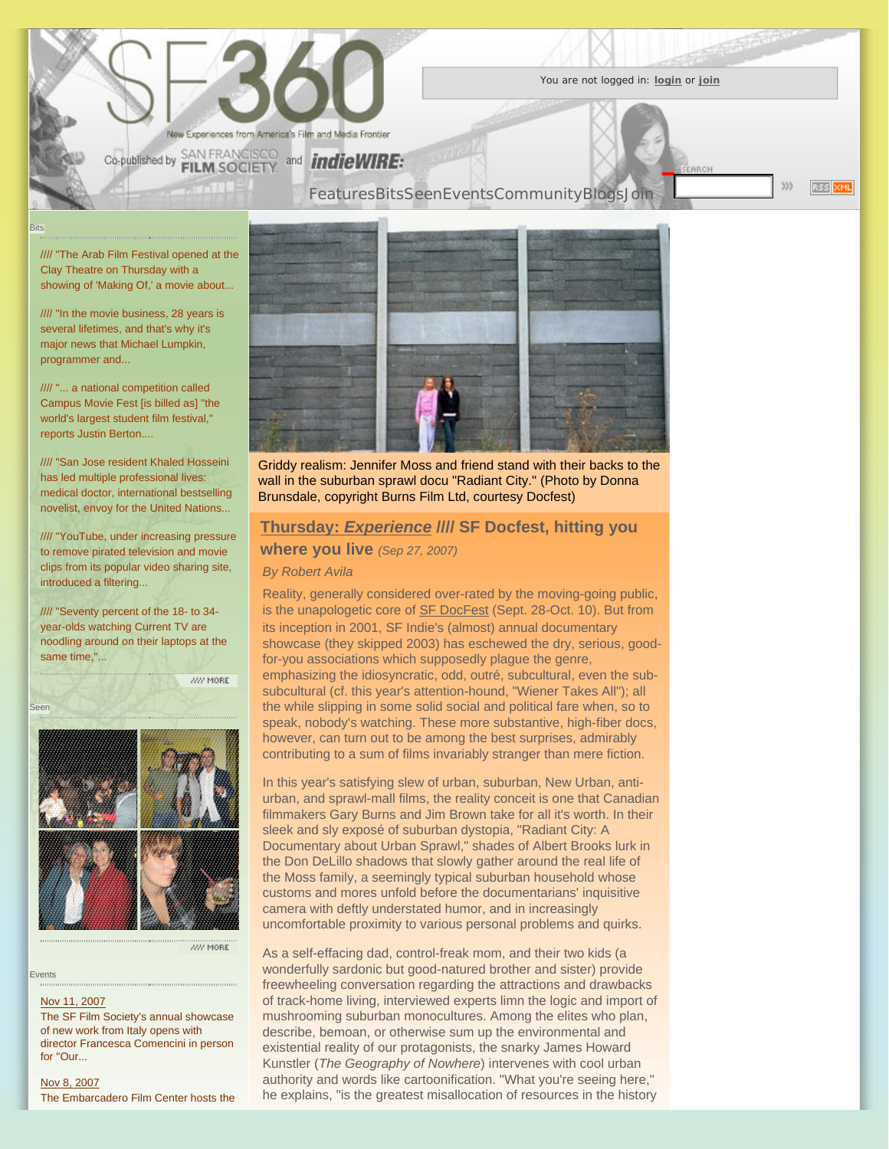

You are not logged in: **[login](http://www.sf360.org/login.cgi)** or **[join](http://www.sf360.org/signup.cgi)**

**RSS XML** 

335

//// "The Arab Film Festival opened at the [Clay Theatre on Thursday with a](http://www.sf360.org/bits/071021.html#10148)  [showing of 'Making Of,' a movie about.](http://www.sf360.org/bits/071021.html#10148)..

Bits

//// "In the movie business, 28 years is [several lifetimes, and that's why it's](http://www.sf360.org/bits/071021.html#10122) [major news that Michael Lumpkin,](http://www.sf360.org/bits/071021.html#10122)  [programmer and.](http://www.sf360.org/bits/071021.html#10122)..

//// ["... a national competition called](http://www.sf360.org/bits/071014.html#10084)  [Campus Movie Fest \[is billed as\] "the](http://www.sf360.org/bits/071014.html#10084)  [world's largest student film festival,"](http://www.sf360.org/bits/071014.html#10084)  [reports Justin Berton..](http://www.sf360.org/bits/071014.html#10084)..

//// ["San Jose resident Khaled Hosseini](http://www.sf360.org/bits/071014.html#10081)  [has led multiple professional lives:](http://www.sf360.org/bits/071014.html#10081) [medical doctor, international bestselling](http://www.sf360.org/bits/071014.html#10081)  [novelist, envoy for the United Nations.](http://www.sf360.org/bits/071014.html#10081)..

//// ["YouTube, under increasing pressure](http://www.sf360.org/bits/071014.html#10068)  [to remove pirated television and movie](http://www.sf360.org/bits/071014.html#10068)  [clips from its popular video sharing site,](http://www.sf360.org/bits/071014.html#10068)  [introduced a filtering.](http://www.sf360.org/bits/071014.html#10068)..

//// ["Seventy percent of the 18- to 34](http://www.sf360.org/bits/071014.html#10067) [year-olds watching Current TV are](http://www.sf360.org/bits/071014.html#10067)  [noodling around on their laptops at the](http://www.sf360.org/bits/071014.html#10067)  [same time,"](http://www.sf360.org/bits/071014.html#10067)...

WW MORE



Events

Seen

### [Nov 11, 2007](http://www.sf360.org/events/2007nov11w.html#10159)

The SF Film Society's annual showcase of new work from Italy opens with director Francesca Comencini in person for "Our...

[Nov 8, 2007](http://www.sf360.org/events/2007nov04w.html#10157) The Embarcadero Film Center hosts the



[Features](http://www.sf360.org/features/)[Bits](http://www.sf360.org/bits/)[Seen](http://www.sf360.org/seen/)[Events](http://www.sf360.org/events/)[Community](http://social.sf360.org/)[Blogs](http://www.sf360.org/blogs.html)[Join](http://www.sf360.org/signup.cgi)

Griddy realism: Jennifer Moss and friend stand with their backs to the wall in the suburban sprawl docu "Radiant City." (Photo by Donna Brunsdale, copyright Burns Film Ltd, courtesy Docfest)

# **Thursday:** *[Experience](http://www.sf360.org/features/thursday_experience.html)* **//// SF Docfest, hitting you**

**where you live** (Sep 27, 2007)

# *By Robert Avila*

Reality, generally considered over-rated by the moving-going public, is the unapologetic core of **SF DocFest** (Sept. 28-Oct. 10). But from its inception in 2001, SF Indie's (almost) annual documentary showcase (they skipped 2003) has eschewed the dry, serious, goodfor-you associations which supposedly plague the genre, emphasizing the idiosyncratic, odd, outré, subcultural, even the subsubcultural (cf. this year's attention-hound, "Wiener Takes All"); all the while slipping in some solid social and political fare when, so to speak, nobody's watching. These more substantive, high-fiber docs, however, can turn out to be among the best surprises, admirably contributing to a sum of films invariably stranger than mere fiction.

In this year's satisfying slew of urban, suburban, New Urban, antiurban, and sprawl-mall films, the reality conceit is one that Canadian filmmakers Gary Burns and Jim Brown take for all it's worth. In their sleek and sly exposé of suburban dystopia, "Radiant City: A Documentary about Urban Sprawl," shades of Albert Brooks lurk in the Don DeLillo shadows that slowly gather around the real life of the Moss family, a seemingly typical suburban household whose customs and mores unfold before the documentarians' inquisitive camera with deftly understated humor, and in increasingly uncomfortable proximity to various personal problems and quirks.

As a self-effacing dad, control-freak mom, and their two kids (a wonderfully sardonic but good-natured brother and sister) provide freewheeling conversation regarding the attractions and drawbacks of track-home living, interviewed experts limn the logic and import of mushrooming suburban monocultures. Among the elites who plan, describe, bemoan, or otherwise sum up the environmental and existential reality of our protagonists, the snarky James Howard Kunstler (*The Geography of Nowhere*) intervenes with cool urban authority and words like cartoonification. "What you're seeing here," he explains, "is the greatest misallocation of resources in the history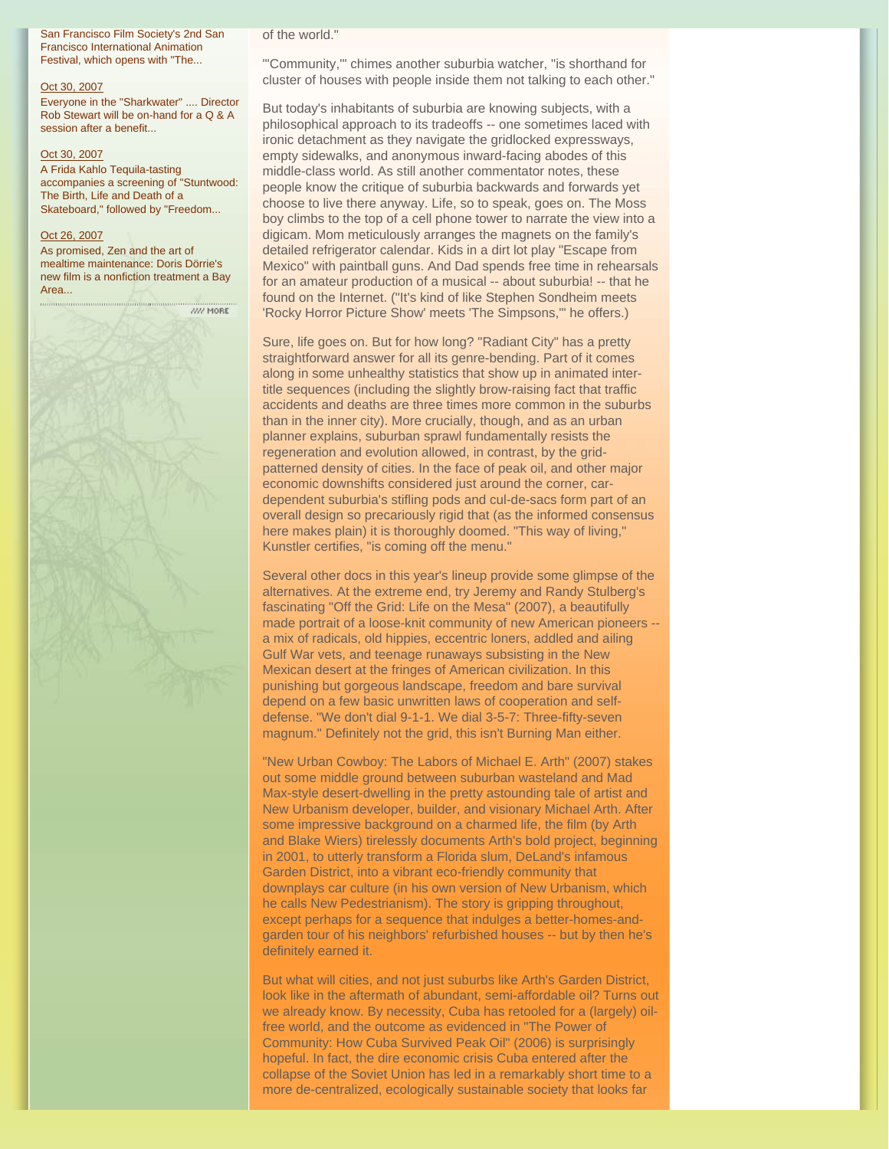San Francisco Film Society's 2nd San Francisco International Animation Festival, which opens with "The...

#### [Oct 30, 2007](http://www.sf360.org/events/2007oct28w.html#10158)

Everyone in the "Sharkwater" .... Director Rob Stewart will be on-hand for a Q & A session after a benefit

## [Oct 30, 2007](http://www.sf360.org/events/2007oct28w.html#10156)

A Frida Kahlo Tequila-tasting accompanies a screening of "Stuntwood: The Birth, Life and Death of a Skateboard," followed by "Freedom...

# [Oct 26, 2007](http://www.sf360.org/events/2007oct21w.html#10144)

As promised, Zen and the art of mealtime maintenance: Doris Dörrie's new film is a nonfiction treatment a Bay Area...

 $\frac{1}{27}$  MORE

### of the world."

"'Community,'" chimes another suburbia watcher, "is shorthand for cluster of houses with people inside them not talking to each other."

But today's inhabitants of suburbia are knowing subjects, with a philosophical approach to its tradeoffs -- one sometimes laced with ironic detachment as they navigate the gridlocked expressways, empty sidewalks, and anonymous inward-facing abodes of this middle-class world. As still another commentator notes, these people know the critique of suburbia backwards and forwards yet choose to live there anyway. Life, so to speak, goes on. The Moss boy climbs to the top of a cell phone tower to narrate the view into a digicam. Mom meticulously arranges the magnets on the family's detailed refrigerator calendar. Kids in a dirt lot play "Escape from Mexico" with paintball guns. And Dad spends free time in rehearsals for an amateur production of a musical -- about suburbia! -- that he found on the Internet. ("It's kind of like Stephen Sondheim meets 'Rocky Horror Picture Show' meets 'The Simpsons,'" he offers.)

Sure, life goes on. But for how long? "Radiant City" has a pretty straightforward answer for all its genre-bending. Part of it comes along in some unhealthy statistics that show up in animated intertitle sequences (including the slightly brow-raising fact that traffic accidents and deaths are three times more common in the suburbs than in the inner city). More crucially, though, and as an urban planner explains, suburban sprawl fundamentally resists the regeneration and evolution allowed, in contrast, by the gridpatterned density of cities. In the face of peak oil, and other major economic downshifts considered just around the corner, cardependent suburbia's stifling pods and cul-de-sacs form part of an overall design so precariously rigid that (as the informed consensus here makes plain) it is thoroughly doomed. "This way of living," Kunstler certifies, "is coming off the menu."

Several other docs in this year's lineup provide some glimpse of the alternatives. At the extreme end, try Jeremy and Randy Stulberg's fascinating "Off the Grid: Life on the Mesa" (2007), a beautifully made portrait of a loose-knit community of new American pioneers - a mix of radicals, old hippies, eccentric loners, addled and ailing Gulf War vets, and teenage runaways subsisting in the New Mexican desert at the fringes of American civilization. In this punishing but gorgeous landscape, freedom and bare survival depend on a few basic unwritten laws of cooperation and selfdefense. "We don't dial 9-1-1. We dial 3-5-7: Three-fifty-seven magnum." Definitely not the grid, this isn't Burning Man either.

"New Urban Cowboy: The Labors of Michael E. Arth" (2007) stakes out some middle ground between suburban wasteland and Mad Max-style desert-dwelling in the pretty astounding tale of artist and New Urbanism developer, builder, and visionary Michael Arth. After some impressive background on a charmed life, the film (by Arth and Blake Wiers) tirelessly documents Arth's bold project, beginning in 2001, to utterly transform a Florida slum, DeLand's infamous Garden District, into a vibrant eco-friendly community that downplays car culture (in his own version of New Urbanism, which he calls New Pedestrianism). The story is gripping throughout, except perhaps for a sequence that indulges a better-homes-andgarden tour of his neighbors' refurbished houses -- but by then he's definitely earned it.

But what will cities, and not just suburbs like Arth's Garden District, look like in the aftermath of abundant, semi-affordable oil? Turns out we already know. By necessity, Cuba has retooled for a (largely) oilfree world, and the outcome as evidenced in "The Power of Community: How Cuba Survived Peak Oil" (2006) is surprisingly hopeful. In fact, the dire economic crisis Cuba entered after the collapse of the Soviet Union has led in a remarkably short time to a more de-centralized, ecologically sustainable society that looks far